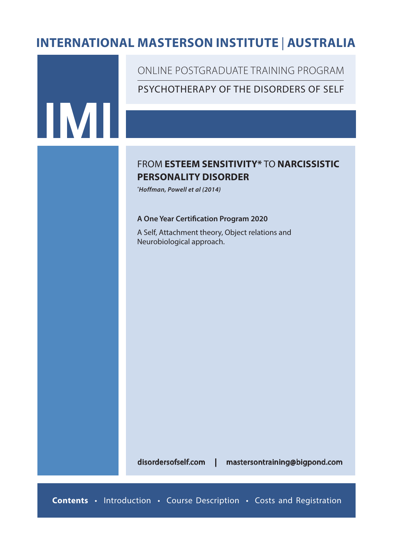# **INTERNATIONAL MASTERSON INSTITUTE** *In affiliation with* | **AUSTRALIA**



disordersofself.com | mastersontraining@bigpond.com

**Contents** • Introduction • Course Description • Costs and Registration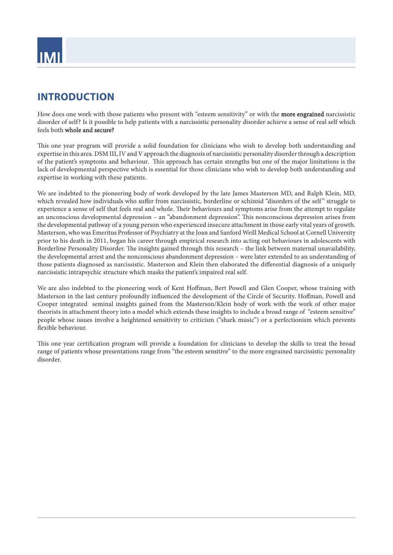

# **INTRODUCTION**

How does one work with those patients who present with "esteem sensitivity" or with the **more engrained** narcissistic disorder of self? Is it possible to help patients with a narcissistic personality disorder achieve a sense of real self which feels both whole and secure?

This one year program will provide a solid foundation for clinicians who wish to develop both understanding and expertise in this area. DSM III, IV and V approach the diagnosis of narcissistic personality disorder through a description of the patient's symptoms and behaviour. This approach has certain strengths but one of the major limitations is the lack of developmental perspective which is essential for those clinicians who wish to develop both understanding and expertise in working with these patients.

We are indebted to the pioneering body of work developed by the late James Masterson MD, and Ralph Klein, MD, which revealed how individuals who suffer from narcissistic, borderline or schizoid "disorders of the self" struggle to experience a sense of self that feels real and whole. Their behaviours and symptoms arise from the attempt to regulate an unconscious developmental depression – an "abandonment depression". This nonconscious depression arises from the developmental pathway of a young person who experienced insecure attachment in those early vital years of growth. Masterson, who was Emeritus Professor of Psychiatry at the Joan and Sanford Weill Medical School at Cornell University prior to his death in 2011, began his career through empirical research into acting out behaviours in adolescents with Borderline Personality Disorder. The insights gained through this research – the link between maternal unavailability, the developmental arrest and the nonconscious abandonment depression – were later extended to an understanding of those patients diagnosed as narcissistic. Masterson and Klein then elaborated the differential diagnosis of a uniquely narcissistic intrapsychic structure which masks the patient's impaired real self.

We are also indebted to the pioneering work of Kent Hoffman, Bert Powell and Glen Cooper, whose training with Masterson in the last century profoundly influenced the development of the Circle of Security. Hoffman, Powell and Cooper integrated seminal insights gained from the Masterson/Klein body of work with the work of other major theorists in attachment theory into a model which extends these insights to include a broad range of "esteem sensitive" people whose issues involve a heightened sensitivity to criticism ("shark music") or a perfectionism which prevents flexible behaviour.

This one year certification program will provide a foundation for clinicians to develop the skills to treat the broad range of patients whose presentations range from "the esteem sensitive" to the more engrained narcissistic personality disorder.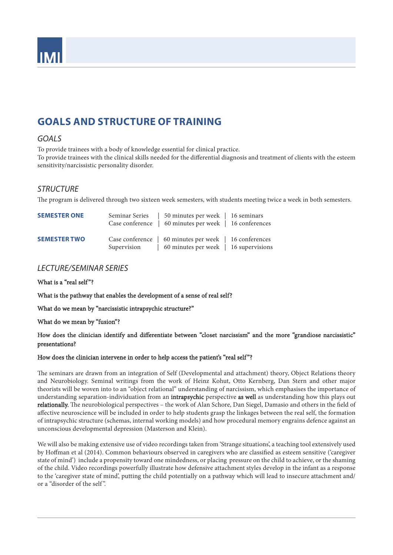

# **GOALS AND STRUCTURE OF TRAINING**

### *GOALS*

To provide trainees with a body of knowledge essential for clinical practice.

To provide trainees with the clinical skills needed for the differential diagnosis and treatment of clients with the esteem sensitivity/narcissistic personality disorder.

### *STRUCTURE*

The program is delivered through two sixteen week semesters, with students meeting twice a week in both semesters.

| <b>SEMESTER ONE</b> | Seminar Series | 50 minutes per week   16 seminars<br>Case conference   60 minutes per week   16 conferences       |  |
|---------------------|----------------|---------------------------------------------------------------------------------------------------|--|
| <b>SEMESTER TWO</b> | Supervision    | Case conference   60 minutes per week   16 conferences<br>  60 minutes per week   16 supervisions |  |

## *LECTURE/SEMINAR SERIES*

What is a "real self"?

What is the pathway that enables the development of a sense of real self?

What do we mean by "narcissistic intrapsychic structure?"

#### What do we mean by "fusion"?

### How does the clinician identify and differentiate between "closet narcissism" and the more "grandiose narcissistic" presentations?

#### How does the clinician intervene in order to help access the patient's "real self"?

The seminars are drawn from an integration of Self (Developmental and attachment) theory, Object Relations theory and Neurobiology. Seminal writings from the work of Heinz Kohut, Otto Kernberg, Dan Stern and other major theorists will be woven into to an "object relational" understanding of narcissism, which emphasises the importance of understanding separation-individuation from an intrapsychic perspective as well as understanding how this plays out relationally. The neurobiological perspectives – the work of Alan Schore, Dan Siegel, Damasio and others in the field of affective neuroscience will be included in order to help students grasp the linkages between the real self, the formation of intrapsychic structure (schemas, internal working models) and how procedural memory engrains defence against an unconscious developmental depression (Masterson and Klein).

We will also be making extensive use of video recordings taken from 'Strange situations', a teaching tool extensively used by Hoffman et al (2014). Common behaviours observed in caregivers who are classified as esteem sensitive ('caregiver state of mind') include a propensity toward one mindedness, or placing pressure on the child to achieve, or the shaming of the child. Video recordings powerfully illustrate how defensive attachment styles develop in the infant as a response to the 'caregiver state of mind', putting the child potentially on a pathway which will lead to insecure attachment and/ or a "disorder of the self ".